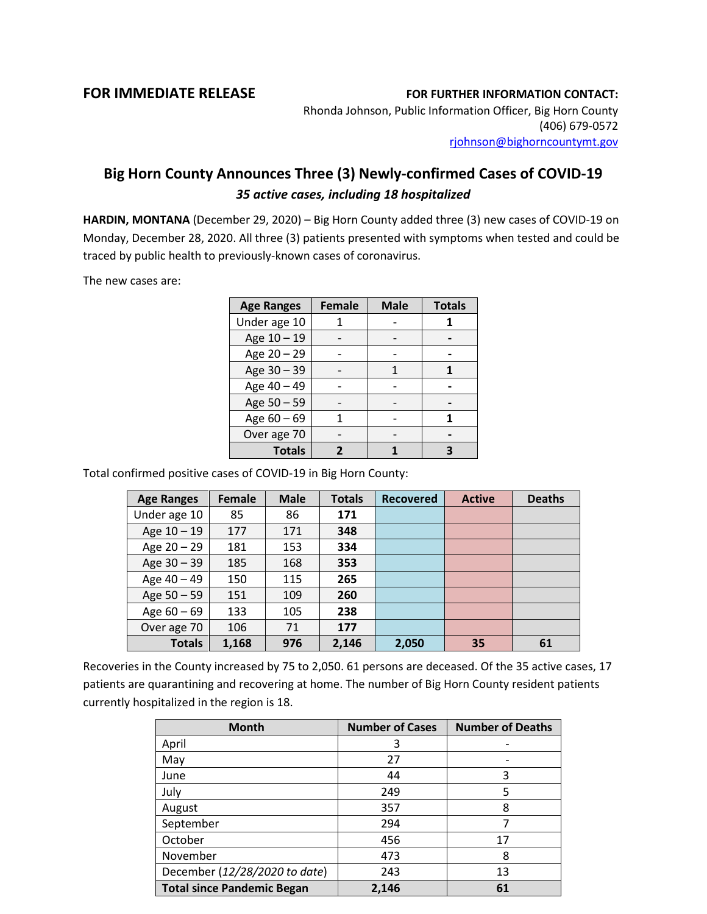## **FOR IMMEDIATE RELEASE FOR FURTHER INFORMATION CONTACT:**

Rhonda Johnson, Public Information Officer, Big Horn County (406) 679-0572 [rjohnson@bighorncountymt.gov](mailto:rjohnson@bighorncountymt.gov)

## **Big Horn County Announces Three (3) Newly-confirmed Cases of COVID-19** *35 active cases, including 18 hospitalized*

**HARDIN, MONTANA** (December 29, 2020) – Big Horn County added three (3) new cases of COVID-19 on Monday, December 28, 2020. All three (3) patients presented with symptoms when tested and could be traced by public health to previously-known cases of coronavirus.

The new cases are:

| <b>Age Ranges</b> | <b>Female</b> | <b>Male</b> | <b>Totals</b> |
|-------------------|---------------|-------------|---------------|
| Under age 10      |               |             |               |
| Age 10 - 19       |               |             |               |
| Age 20 - 29       |               |             |               |
| Age 30 - 39       |               |             |               |
| Age 40 - 49       |               |             |               |
| Age 50 - 59       |               |             |               |
| Age $60 - 69$     |               |             |               |
| Over age 70       |               |             |               |
| <b>Totals</b>     |               |             |               |

Total confirmed positive cases of COVID-19 in Big Horn County:

| <b>Age Ranges</b> | <b>Female</b> | <b>Male</b> | <b>Totals</b> | <b>Recovered</b> | <b>Active</b> | <b>Deaths</b> |
|-------------------|---------------|-------------|---------------|------------------|---------------|---------------|
| Under age 10      | 85            | 86          | 171           |                  |               |               |
| Age 10 - 19       | 177           | 171         | 348           |                  |               |               |
| Age 20 - 29       | 181           | 153         | 334           |                  |               |               |
| Age 30 - 39       | 185           | 168         | 353           |                  |               |               |
| Age 40 - 49       | 150           | 115         | 265           |                  |               |               |
| Age 50 - 59       | 151           | 109         | 260           |                  |               |               |
| Age $60 - 69$     | 133           | 105         | 238           |                  |               |               |
| Over age 70       | 106           | 71          | 177           |                  |               |               |
| <b>Totals</b>     | 1,168         | 976         | 2,146         | 2,050            | 35            | 61            |

Recoveries in the County increased by 75 to 2,050. 61 persons are deceased. Of the 35 active cases, 17 patients are quarantining and recovering at home. The number of Big Horn County resident patients currently hospitalized in the region is 18.

| <b>Month</b>                      | <b>Number of Cases</b> | <b>Number of Deaths</b> |
|-----------------------------------|------------------------|-------------------------|
| April                             | 3                      |                         |
| May                               | 27                     |                         |
| June                              | 44                     | 3                       |
| July                              | 249                    | 5                       |
| August                            | 357                    | 8                       |
| September                         | 294                    |                         |
| October                           | 456                    | 17                      |
| November                          | 473                    | 8                       |
| December (12/28/2020 to date)     | 243                    | 13                      |
| <b>Total since Pandemic Began</b> | 2,146                  | 61                      |